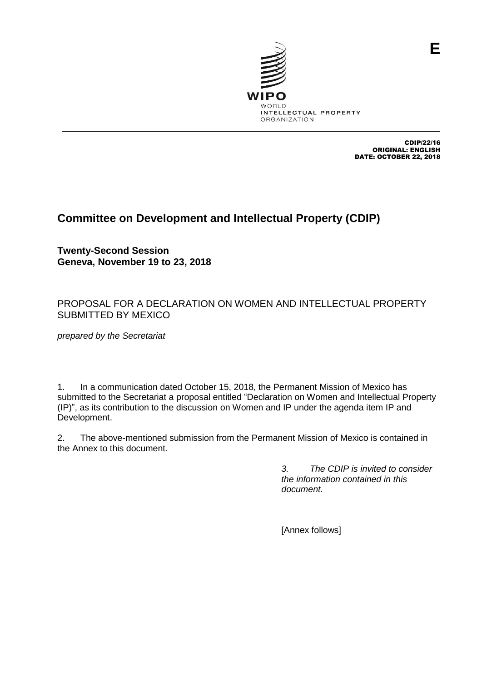

CDIP/22/16 ORIGINAL: ENGLISH DATE: OCTOBER 22, 2018

# **Committee on Development and Intellectual Property (CDIP)**

**Twenty-Second Session Geneva, November 19 to 23, 2018**

## PROPOSAL FOR A DECLARATION ON WOMEN AND INTELLECTUAL PROPERTY SUBMITTED BY MEXICO

*prepared by the Secretariat*

1. In a communication dated October 15, 2018, the Permanent Mission of Mexico has submitted to the Secretariat a proposal entitled "Declaration on Women and Intellectual Property (IP)", as its contribution to the discussion on Women and IP under the agenda item IP and Development.

2. The above-mentioned submission from the Permanent Mission of Mexico is contained in the Annex to this document.

> *3. The CDIP is invited to consider the information contained in this document.*

[Annex follows]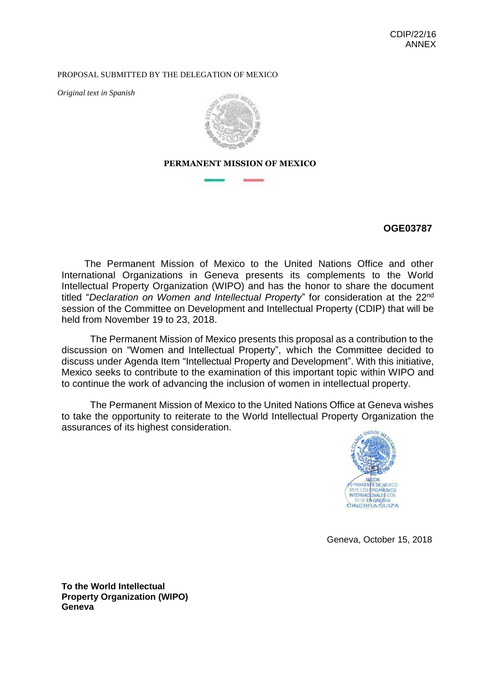#### PROPOSAL SUBMITTED BY THE DELEGATION OF MEXICO

*Original text in Spanish* 



**PERMANENT MISSION OF MEXICO**

## **OGE03787**

The Permanent Mission of Mexico to the United Nations Office and other International Organizations in Geneva presents its complements to the World Intellectual Property Organization (WIPO) and has the honor to share the document titled "*Declaration on Women and Intellectual Property*" for consideration at the 22nd session of the Committee on Development and Intellectual Property (CDIP) that will be held from November 19 to 23, 2018.

The Permanent Mission of Mexico presents this proposal as a contribution to the discussion on "Women and Intellectual Property", which the Committee decided to discuss under Agenda Item "Intellectual Property and Development". With this initiative, Mexico seeks to contribute to the examination of this important topic within WIPO and to continue the work of advancing the inclusion of women in intellectual property.

The Permanent Mission of Mexico to the United Nations Office at Geneva wishes to take the opportunity to reiterate to the World Intellectual Property Organization the assurances of its highest consideration.



Geneva, October 15, 2018

**To the World Intellectual Property Organization (WIPO) Geneva**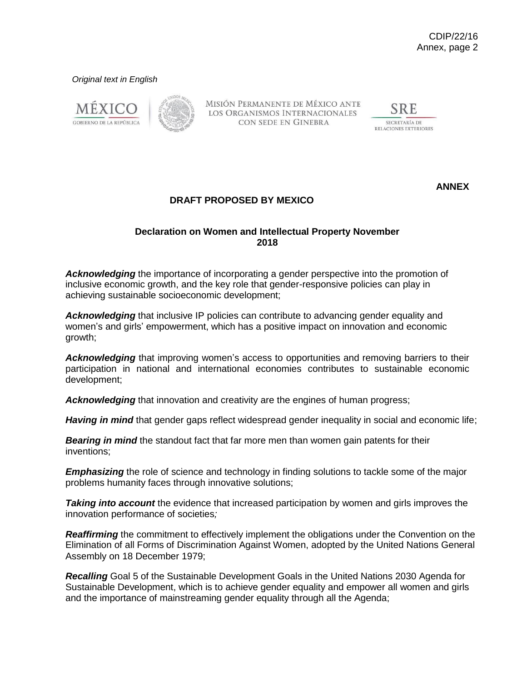#### *Original text in English*





MISIÓN PERMANENTE DE MÉXICO ANTE LOS ORGANISMOS INTERNACIONALES CON SEDE EN GINEBRA

SRE SECRETARÍA DE RELACIONES EXTERIORES

**ANNEX**

## **DRAFT PROPOSED BY MEXICO**

#### **Declaration on Women and Intellectual Property November 2018**

*Acknowledging* the importance of incorporating a gender perspective into the promotion of inclusive economic growth, and the key role that gender-responsive policies can play in achieving sustainable socioeconomic development;

*Acknowledging* that inclusive IP policies can contribute to advancing gender equality and women's and girls' empowerment, which has a positive impact on innovation and economic growth;

*Acknowledging* that improving women's access to opportunities and removing barriers to their participation in national and international economies contributes to sustainable economic development;

*Acknowledging* that innovation and creativity are the engines of human progress;

*Having in mind* that gender gaps reflect widespread gender inequality in social and economic life;

*Bearing in mind* the standout fact that far more men than women gain patents for their inventions;

*Emphasizing* the role of science and technology in finding solutions to tackle some of the major problems humanity faces through innovative solutions;

**Taking into account** the evidence that increased participation by women and girls improves the innovation performance of societies*;*

**Reaffirming** the commitment to effectively implement the obligations under the Convention on the Elimination of all Forms of Discrimination Against Women, adopted by the United Nations General Assembly on 18 December 1979;

*Recalling* Goal 5 of the Sustainable Development Goals in the United Nations 2030 Agenda for Sustainable Development, which is to achieve gender equality and empower all women and girls and the importance of mainstreaming gender equality through all the Agenda;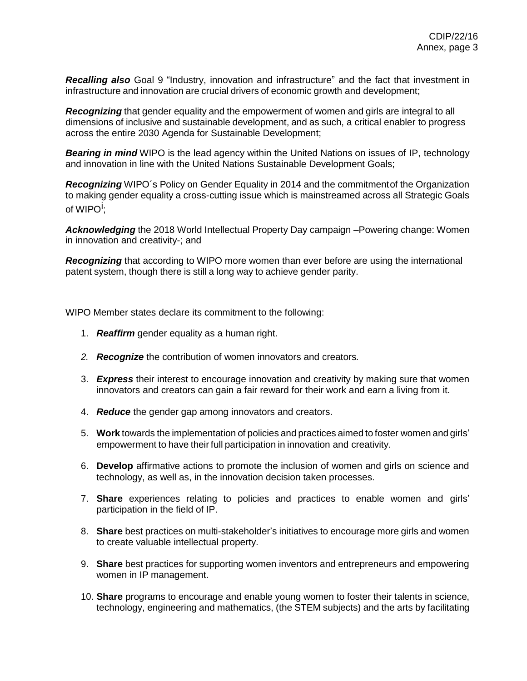*Recalling also* Goal 9 "Industry, innovation and infrastructure" and the fact that investment in infrastructure and innovation are crucial drivers of economic growth and development;

*Recognizing* that gender equality and the empowerment of women and girls are integral to all dimensions of inclusive and sustainable development, and as such, a critical enabler to progress across the entire 2030 Agenda for Sustainable Development;

*Bearing in mind* WIPO is the lead agency within the United Nations on issues of IP, technology and innovation in line with the United Nations Sustainable Development Goals;

*Recognizing* WIPO´s [Policy on Gender Equality i](http://www.wipo.int/export/sites/www/women-and-ip/docs/en/wipo_policy_gender_equality_en.pdf)n 2014 and the commitmentof the Organization to making gender equality a cross-cutting issue which is mainstreamed across all Strategic Goals of WIPO<sup>i</sup>;

*Acknowledging* the 2018 World Intellectual Property Day campaign –Powering change: Women in innovation and creativity-; and

*Recognizing* that according to WIPO more women than ever before are using the international patent system, though there is still a long way to achieve gender parity.

WIPO Member states declare its commitment to the following:

- 1. *Reaffirm* gender equality as a human right.
- *2. Recognize* the contribution of women innovators and creators*.*
- 3. *Express* their interest to encourage innovation and creativity by making sure that women innovators and creators can gain a fair reward for their work and earn a living from it.
- 4. *Reduce* the gender gap among innovators and creators.
- 5. **Work** towards the implementation of policies and practices aimed to foster women and girls' empowerment to have their full participation in innovation and creativity.
- 6. **Develop** affirmative actions to promote the inclusion of women and girls on science and technology, as well as, in the innovation decision taken processes.
- 7. **Share** experiences relating to policies and practices to enable women and girls' participation in the field of IP.
- 8. **Share** best practices on multi-stakeholder's initiatives to encourage more girls and women to create valuable intellectual property.
- 9. **Share** best practices for supporting women inventors and entrepreneurs and empowering women in IP management.
- 10. **Share** programs to encourage and enable young women to foster their talents in science, technology, engineering and mathematics, (the STEM subjects) and the arts by facilitating